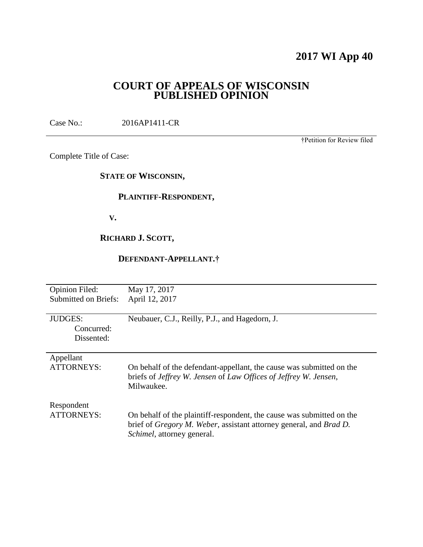# **2017 WI App 40**

# **COURT OF APPEALS OF WISCONSIN PUBLISHED OPINION**

Case No.: 2016AP1411-CR

†Petition for Review filed

Complete Title of Case:

**STATE OF WISCONSIN,**

# **PLAINTIFF-RESPONDENT,**

 **V.**

# **RICHARD J. SCOTT,**

## **DEFENDANT-APPELLANT.†**

| <b>Opinion Filed:</b>       | May 17, 2017                                                                                                                             |
|-----------------------------|------------------------------------------------------------------------------------------------------------------------------------------|
| <b>Submitted on Briefs:</b> | April 12, 2017                                                                                                                           |
|                             |                                                                                                                                          |
| <b>JUDGES:</b>              | Neubauer, C.J., Reilly, P.J., and Hagedorn, J.                                                                                           |
| Concurred:                  |                                                                                                                                          |
| Dissented:                  |                                                                                                                                          |
|                             |                                                                                                                                          |
| Appellant                   |                                                                                                                                          |
| ATTORNEYS:                  | On behalf of the defendant-appellant, the cause was submitted on the<br>briefs of Jeffrey W. Jensen of Law Offices of Jeffrey W. Jensen, |
|                             | Milwaukee.                                                                                                                               |
| Respondent                  |                                                                                                                                          |
| <b>ATTORNEYS:</b>           | On behalf of the plaintiff-respondent, the cause was submitted on the                                                                    |
|                             | brief of <i>Gregory M. Weber</i> , assistant attorney general, and <i>Brad D.</i><br><i>Schimel</i> , attorney general.                  |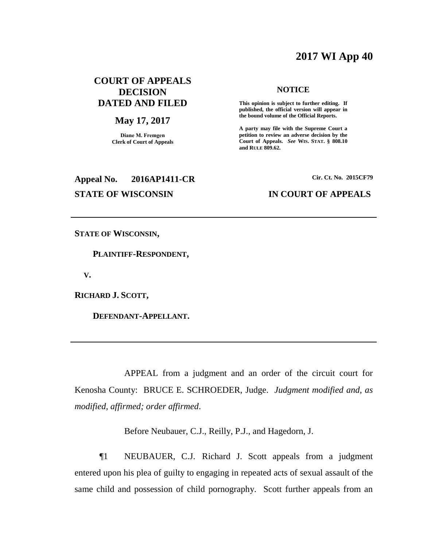# **2017 WI App 40**

# **COURT OF APPEALS DECISION DATED AND FILED**

### **May 17, 2017**

**Diane M. Fremgen Clerk of Court of Appeals**

# **Appeal No. 2016AP1411-CR Cir. Ct. No. 2015CF79**

#### **NOTICE**

**This opinion is subject to further editing. If published, the official version will appear in the bound volume of the Official Reports.** 

**A party may file with the Supreme Court a petition to review an adverse decision by the Court of Appeals.** *See* **WIS. STAT. § 808.10 and RULE 809.62.** 

## **STATE OF WISCONSIN IN COURT OF APPEALS**

**STATE OF WISCONSIN,**

 **PLAINTIFF-RESPONDENT,**

 **V.**

**RICHARD J. SCOTT,**

 **DEFENDANT-APPELLANT.**

APPEAL from a judgment and an order of the circuit court for Kenosha County: BRUCE E. SCHROEDER, Judge. *Judgment modified and, as modified, affirmed; order affirmed*.

Before Neubauer, C.J., Reilly, P.J., and Hagedorn, J.

¶1 NEUBAUER, C.J. Richard J. Scott appeals from a judgment entered upon his plea of guilty to engaging in repeated acts of sexual assault of the same child and possession of child pornography. Scott further appeals from an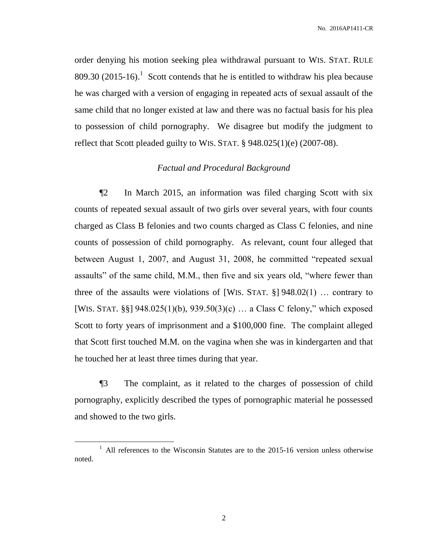order denying his motion seeking plea withdrawal pursuant to WIS. STAT. RULE 809.30 (2015-16).<sup>1</sup> Scott contends that he is entitled to withdraw his plea because he was charged with a version of engaging in repeated acts of sexual assault of the same child that no longer existed at law and there was no factual basis for his plea to possession of child pornography. We disagree but modify the judgment to reflect that Scott pleaded guilty to WIS. STAT. § 948.025(1)(e) (2007-08).

### *Factual and Procedural Background*

¶2 In March 2015, an information was filed charging Scott with six counts of repeated sexual assault of two girls over several years, with four counts charged as Class B felonies and two counts charged as Class C felonies, and nine counts of possession of child pornography. As relevant, count four alleged that between August 1, 2007, and August 31, 2008, he committed "repeated sexual assaults" of the same child, M.M., then five and six years old, "where fewer than three of the assaults were violations of [WIS. STAT.  $\S$ ] 948.02(1) ... contrary to [WIS. STAT. §§] 948.025(1)(b), 939.50(3)(c) … a Class C felony," which exposed Scott to forty years of imprisonment and a \$100,000 fine. The complaint alleged that Scott first touched M.M. on the vagina when she was in kindergarten and that he touched her at least three times during that year.

¶3 The complaint, as it related to the charges of possession of child pornography, explicitly described the types of pornographic material he possessed and showed to the two girls.

 $\overline{a}$ 

<sup>&</sup>lt;sup>1</sup> All references to the Wisconsin Statutes are to the 2015-16 version unless otherwise noted.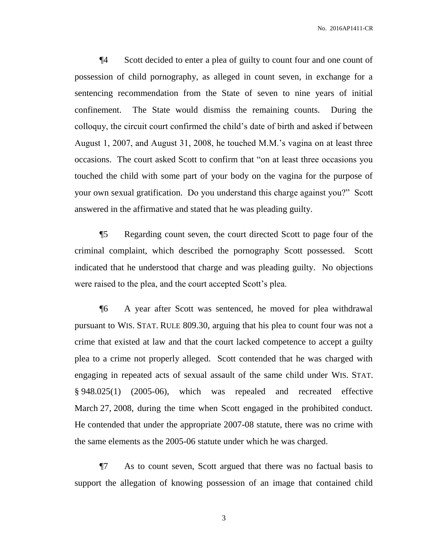¶4 Scott decided to enter a plea of guilty to count four and one count of possession of child pornography, as alleged in count seven, in exchange for a sentencing recommendation from the State of seven to nine years of initial confinement. The State would dismiss the remaining counts. During the colloquy, the circuit court confirmed the child's date of birth and asked if between August 1, 2007, and August 31, 2008, he touched M.M.'s vagina on at least three occasions. The court asked Scott to confirm that "on at least three occasions you touched the child with some part of your body on the vagina for the purpose of your own sexual gratification. Do you understand this charge against you?" Scott answered in the affirmative and stated that he was pleading guilty.

¶5 Regarding count seven, the court directed Scott to page four of the criminal complaint, which described the pornography Scott possessed. Scott indicated that he understood that charge and was pleading guilty. No objections were raised to the plea, and the court accepted Scott's plea.

¶6 A year after Scott was sentenced, he moved for plea withdrawal pursuant to WIS. STAT. RULE 809.30, arguing that his plea to count four was not a crime that existed at law and that the court lacked competence to accept a guilty plea to a crime not properly alleged. Scott contended that he was charged with engaging in repeated acts of sexual assault of the same child under WIS. STAT. § 948.025(1) (2005-06), which was repealed and recreated effective March 27, 2008, during the time when Scott engaged in the prohibited conduct. He contended that under the appropriate 2007-08 statute, there was no crime with the same elements as the 2005-06 statute under which he was charged.

¶7 As to count seven, Scott argued that there was no factual basis to support the allegation of knowing possession of an image that contained child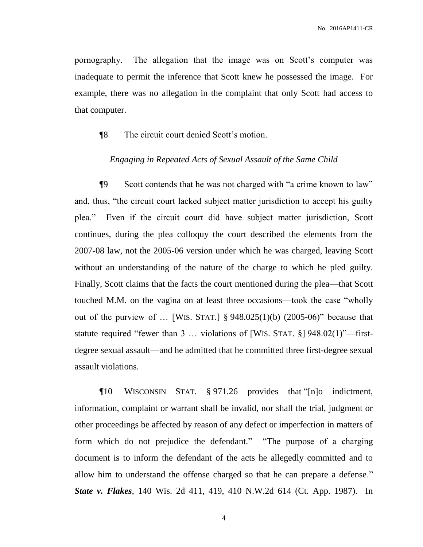pornography. The allegation that the image was on Scott's computer was inadequate to permit the inference that Scott knew he possessed the image. For example, there was no allegation in the complaint that only Scott had access to that computer.

### ¶8 The circuit court denied Scott's motion.

### *Engaging in Repeated Acts of Sexual Assault of the Same Child*

¶9 Scott contends that he was not charged with "a crime known to law" and, thus, "the circuit court lacked subject matter jurisdiction to accept his guilty plea." Even if the circuit court did have subject matter jurisdiction, Scott continues, during the plea colloquy the court described the elements from the 2007-08 law, not the 2005-06 version under which he was charged, leaving Scott without an understanding of the nature of the charge to which he pled guilty. Finally, Scott claims that the facts the court mentioned during the plea—that Scott touched M.M. on the vagina on at least three occasions—took the case "wholly out of the purview of  $\ldots$  [WIS. STAT.] § 948.025(1)(b) (2005-06)" because that statute required "fewer than 3 … violations of [WIS. STAT. §] 948.02(1)"—firstdegree sexual assault—and he admitted that he committed three first-degree sexual assault violations.

¶10 WISCONSIN STAT. § 971.26 provides that "[n]o indictment, information, complaint or warrant shall be invalid, nor shall the trial, judgment or other proceedings be affected by reason of any defect or imperfection in matters of form which do not prejudice the defendant." "The purpose of a charging document is to inform the defendant of the acts he allegedly committed and to allow him to understand the offense charged so that he can prepare a defense." *State v. Flakes*, 140 Wis. 2d 411, 419, 410 N.W.2d 614 (Ct. App. 1987). In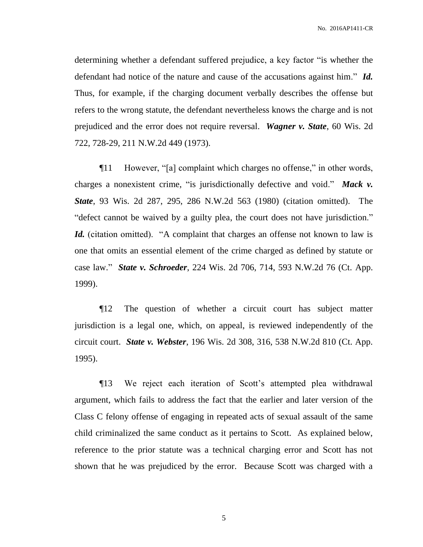determining whether a defendant suffered prejudice, a key factor "is whether the defendant had notice of the nature and cause of the accusations against him." *Id.* Thus, for example, if the charging document verbally describes the offense but refers to the wrong statute, the defendant nevertheless knows the charge and is not prejudiced and the error does not require reversal. *Wagner v. State*, 60 Wis. 2d 722, 728-29, 211 N.W.2d 449 (1973).

¶11 However, "[a] complaint which charges no offense," in other words, charges a nonexistent crime, "is jurisdictionally defective and void." *Mack v. State*, 93 Wis. 2d 287, 295, 286 N.W.2d 563 (1980) (citation omitted). The "defect cannot be waived by a guilty plea, the court does not have jurisdiction." *Id.* (citation omitted). "A complaint that charges an offense not known to law is one that omits an essential element of the crime charged as defined by statute or case law." *State v. Schroeder*, 224 Wis. 2d 706, 714, 593 N.W.2d 76 (Ct. App. 1999).

¶12 The question of whether a circuit court has subject matter jurisdiction is a legal one, which, on appeal, is reviewed independently of the circuit court. *State v. Webster*, 196 Wis. 2d 308, 316, 538 N.W.2d 810 (Ct. App. 1995).

¶13 We reject each iteration of Scott's attempted plea withdrawal argument, which fails to address the fact that the earlier and later version of the Class C felony offense of engaging in repeated acts of sexual assault of the same child criminalized the same conduct as it pertains to Scott. As explained below, reference to the prior statute was a technical charging error and Scott has not shown that he was prejudiced by the error. Because Scott was charged with a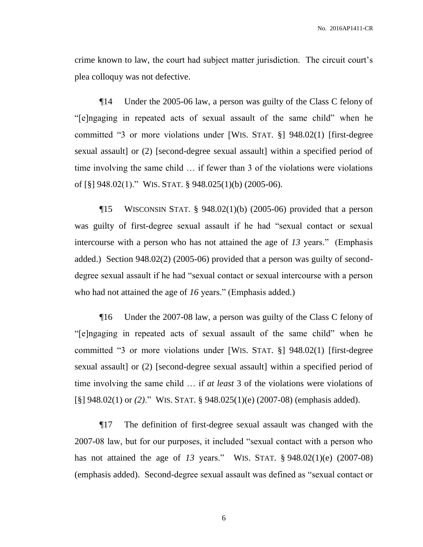crime known to law, the court had subject matter jurisdiction. The circuit court's plea colloquy was not defective.

¶14 Under the 2005-06 law, a person was guilty of the Class C felony of "[e]ngaging in repeated acts of sexual assault of the same child" when he committed "3 or more violations under [WIS. STAT. §] 948.02(1) [first-degree sexual assault] or (2) [second-degree sexual assault] within a specified period of time involving the same child … if fewer than 3 of the violations were violations of [§] 948.02(1)." WIS. STAT. § 948.025(1)(b) (2005-06).

 $\P$ 15 WISCONSIN STAT. § 948.02(1)(b) (2005-06) provided that a person was guilty of first-degree sexual assault if he had "sexual contact or sexual intercourse with a person who has not attained the age of *13* years." (Emphasis added.) Section 948.02(2) (2005-06) provided that a person was guilty of seconddegree sexual assault if he had "sexual contact or sexual intercourse with a person who had not attained the age of *16* years." (Emphasis added.)

¶16 Under the 2007-08 law, a person was guilty of the Class C felony of "[e]ngaging in repeated acts of sexual assault of the same child" when he committed "3 or more violations under [WIS. STAT. §] 948.02(1) [first-degree sexual assault] or (2) [second-degree sexual assault] within a specified period of time involving the same child … if *at least* 3 of the violations were violations of [§] 948.02(1) or *(2)*." WIS. STAT. § 948.025(1)(e) (2007-08) (emphasis added).

¶17 The definition of first-degree sexual assault was changed with the 2007-08 law, but for our purposes, it included "sexual contact with a person who has not attained the age of *13* years." WIS. STAT. § 948.02(1)(e) (2007-08) (emphasis added). Second-degree sexual assault was defined as "sexual contact or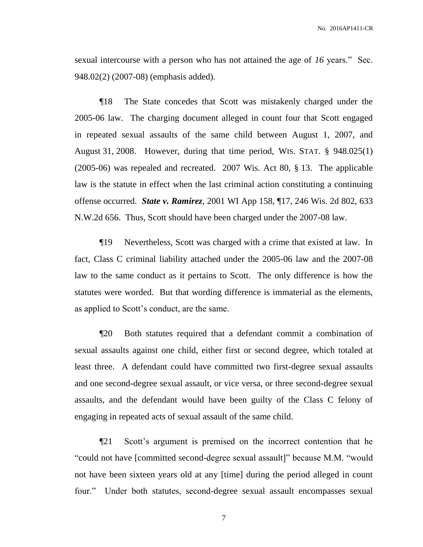sexual intercourse with a person who has not attained the age of *16* years." Sec. 948.02(2) (2007-08) (emphasis added).

¶18 The State concedes that Scott was mistakenly charged under the 2005-06 law. The charging document alleged in count four that Scott engaged in repeated sexual assaults of the same child between August 1, 2007, and August 31, 2008. However, during that time period, WIS. STAT. § 948.025(1) (2005-06) was repealed and recreated. 2007 Wis. Act 80, § 13. The applicable law is the statute in effect when the last criminal action constituting a continuing offense occurred. *State v. Ramirez*, 2001 WI App 158, ¶17, 246 Wis. 2d 802, 633 N.W.2d 656. Thus, Scott should have been charged under the 2007-08 law.

¶19 Nevertheless, Scott was charged with a crime that existed at law. In fact, Class C criminal liability attached under the 2005-06 law and the 2007-08 law to the same conduct as it pertains to Scott. The only difference is how the statutes were worded. But that wording difference is immaterial as the elements, as applied to Scott's conduct, are the same.

¶20 Both statutes required that a defendant commit a combination of sexual assaults against one child, either first or second degree, which totaled at least three. A defendant could have committed two first-degree sexual assaults and one second-degree sexual assault, or vice versa, or three second-degree sexual assaults, and the defendant would have been guilty of the Class C felony of engaging in repeated acts of sexual assault of the same child.

¶21 Scott's argument is premised on the incorrect contention that he "could not have [committed second-degree sexual assault]" because M.M. "would not have been sixteen years old at any [time] during the period alleged in count four." Under both statutes, second-degree sexual assault encompasses sexual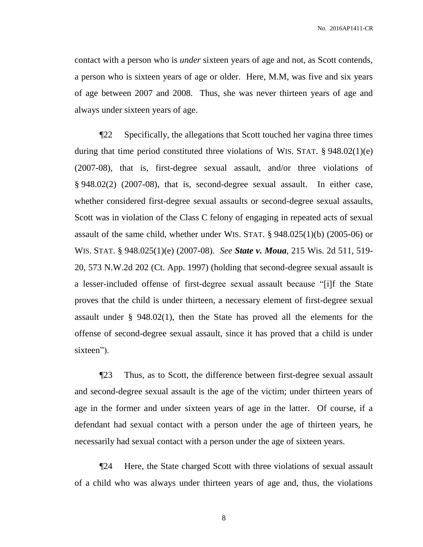contact with a person who is *under* sixteen years of age and not, as Scott contends, a person who is sixteen years of age or older. Here, M.M, was five and six years of age between 2007 and 2008. Thus, she was never thirteen years of age and always under sixteen years of age.

¶22 Specifically, the allegations that Scott touched her vagina three times during that time period constituted three violations of WIS. STAT. § 948.02(1)(e) (2007-08), that is, first-degree sexual assault, and/or three violations of § 948.02(2) (2007-08), that is, second-degree sexual assault. In either case, whether considered first-degree sexual assaults or second-degree sexual assaults, Scott was in violation of the Class C felony of engaging in repeated acts of sexual assault of the same child, whether under WIS. STAT. § 948.025(1)(b) (2005-06) or WIS. STAT. § 948.025(1)(e) (2007-08). *See State v. Moua*, 215 Wis. 2d 511, 519- 20, 573 N.W.2d 202 (Ct. App. 1997) (holding that second-degree sexual assault is a lesser-included offense of first-degree sexual assault because "[i]f the State proves that the child is under thirteen, a necessary element of first-degree sexual assault under § 948.02(1), then the State has proved all the elements for the offense of second-degree sexual assault, since it has proved that a child is under sixteen").

¶23 Thus, as to Scott, the difference between first-degree sexual assault and second-degree sexual assault is the age of the victim; under thirteen years of age in the former and under sixteen years of age in the latter. Of course, if a defendant had sexual contact with a person under the age of thirteen years, he necessarily had sexual contact with a person under the age of sixteen years.

¶24 Here, the State charged Scott with three violations of sexual assault of a child who was always under thirteen years of age and, thus, the violations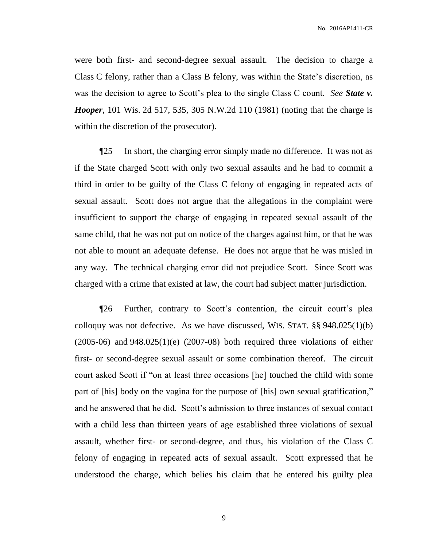were both first- and second-degree sexual assault. The decision to charge a Class C felony, rather than a Class B felony, was within the State's discretion, as was the decision to agree to Scott's plea to the single Class C count. *See State v. Hooper*, 101 Wis. 2d 517, 535, 305 N.W.2d 110 (1981) (noting that the charge is within the discretion of the prosecutor).

¶25 In short, the charging error simply made no difference. It was not as if the State charged Scott with only two sexual assaults and he had to commit a third in order to be guilty of the Class C felony of engaging in repeated acts of sexual assault. Scott does not argue that the allegations in the complaint were insufficient to support the charge of engaging in repeated sexual assault of the same child, that he was not put on notice of the charges against him, or that he was not able to mount an adequate defense. He does not argue that he was misled in any way. The technical charging error did not prejudice Scott. Since Scott was charged with a crime that existed at law, the court had subject matter jurisdiction.

¶26 Further, contrary to Scott's contention, the circuit court's plea colloquy was not defective. As we have discussed, WIS. STAT. §§ 948.025(1)(b)  $(2005-06)$  and  $948.025(1)(e)$   $(2007-08)$  both required three violations of either first- or second-degree sexual assault or some combination thereof. The circuit court asked Scott if "on at least three occasions [he] touched the child with some part of [his] body on the vagina for the purpose of [his] own sexual gratification," and he answered that he did. Scott's admission to three instances of sexual contact with a child less than thirteen years of age established three violations of sexual assault, whether first- or second-degree, and thus, his violation of the Class C felony of engaging in repeated acts of sexual assault. Scott expressed that he understood the charge, which belies his claim that he entered his guilty plea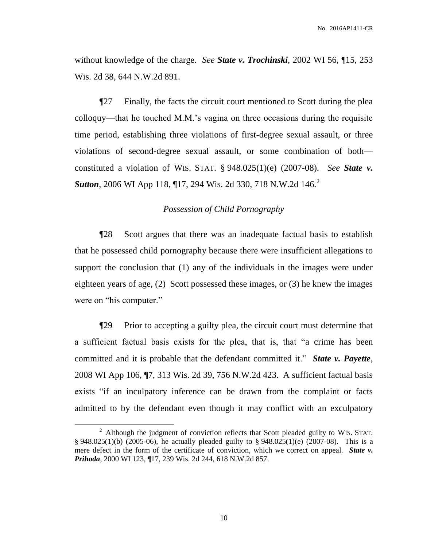without knowledge of the charge. *See State v. Trochinski*, 2002 WI 56, ¶15, 253 Wis. 2d 38, 644 N.W.2d 891.

¶27 Finally, the facts the circuit court mentioned to Scott during the plea colloquy—that he touched M.M.'s vagina on three occasions during the requisite time period, establishing three violations of first-degree sexual assault, or three violations of second-degree sexual assault, or some combination of both constituted a violation of WIS. STAT. § 948.025(1)(e) (2007-08). *See State v.*  **Sutton**, 2006 WI App 118, 17, 294 Wis. 2d 330, 718 N.W.2d 146.<sup>2</sup>

### *Possession of Child Pornography*

¶28 Scott argues that there was an inadequate factual basis to establish that he possessed child pornography because there were insufficient allegations to support the conclusion that (1) any of the individuals in the images were under eighteen years of age, (2) Scott possessed these images, or (3) he knew the images were on "his computer."

¶29 Prior to accepting a guilty plea, the circuit court must determine that a sufficient factual basis exists for the plea, that is, that "a crime has been committed and it is probable that the defendant committed it." *State v. Payette*, 2008 WI App 106, ¶7, 313 Wis. 2d 39, 756 N.W.2d 423. A sufficient factual basis exists "if an inculpatory inference can be drawn from the complaint or facts admitted to by the defendant even though it may conflict with an exculpatory

 $\overline{a}$ 

<sup>&</sup>lt;sup>2</sup> Although the judgment of conviction reflects that Scott pleaded guilty to WIS. STAT.  $§ 948.025(1)(b)$  (2005-06), he actually pleaded guilty to  $§ 948.025(1)(e)$  (2007-08). This is a mere defect in the form of the certificate of conviction, which we correct on appeal. *State v. Prihoda*, 2000 WI 123, ¶17, 239 Wis. 2d 244, 618 N.W.2d 857.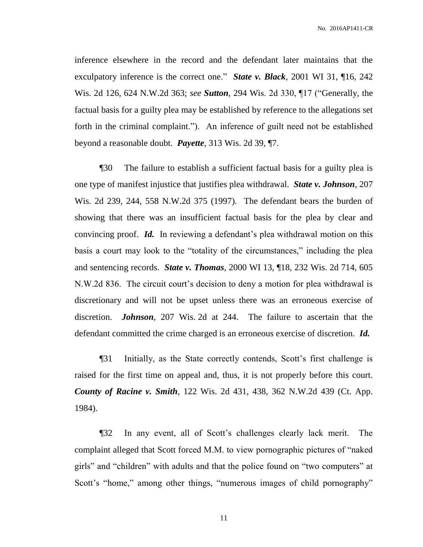inference elsewhere in the record and the defendant later maintains that the exculpatory inference is the correct one." *State v. Black*, 2001 WI 31, ¶16, 242 Wis. 2d 126, 624 N.W.2d 363; *see Sutton*, 294 Wis. 2d 330, ¶17 ("Generally, the factual basis for a guilty plea may be established by reference to the allegations set forth in the criminal complaint."). An inference of guilt need not be established beyond a reasonable doubt. *Payette*, 313 Wis. 2d 39, ¶7.

¶30 The failure to establish a sufficient factual basis for a guilty plea is one type of manifest injustice that justifies plea withdrawal. *State v. Johnson*, 207 Wis. 2d 239, 244, 558 N.W.2d 375 (1997). The defendant bears the burden of showing that there was an insufficient factual basis for the plea by clear and convincing proof. *Id.* In reviewing a defendant's plea withdrawal motion on this basis a court may look to the "totality of the circumstances," including the plea and sentencing records. *State v. Thomas*, 2000 WI 13, ¶18, 232 Wis. 2d 714, 605 N.W.2d 836. The circuit court's decision to deny a motion for plea withdrawal is discretionary and will not be upset unless there was an erroneous exercise of discretion. *Johnson*, 207 Wis. 2d at 244. The failure to ascertain that the defendant committed the crime charged is an erroneous exercise of discretion. *Id.*

¶31 Initially, as the State correctly contends, Scott's first challenge is raised for the first time on appeal and, thus, it is not properly before this court. *County of Racine v. Smith*, 122 Wis. 2d 431, 438, 362 N.W.2d 439 (Ct. App. 1984).

¶32 In any event, all of Scott's challenges clearly lack merit. The complaint alleged that Scott forced M.M. to view pornographic pictures of "naked girls" and "children" with adults and that the police found on "two computers" at Scott's "home," among other things, "numerous images of child pornography"